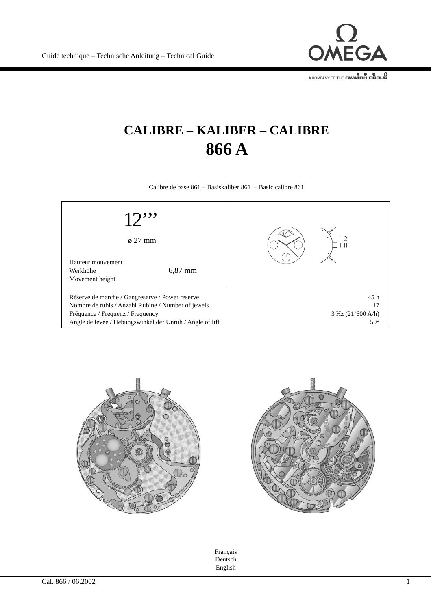

## **CALIBRE – KALIBER – CALIBRE 866 A**

Calibre de base 861 – Basiskaliber 861 – Basic calibre 861







Français Deutsch English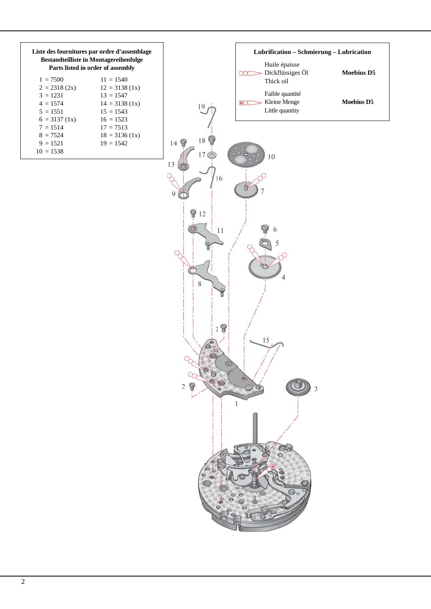| Liste des fournitures par ordre d'assemblage<br><b>Bestandteilliste in Montagereihenfolge</b><br>Parts listed in order of assembly |                  |  |  |  |  |  |  |  |  |
|------------------------------------------------------------------------------------------------------------------------------------|------------------|--|--|--|--|--|--|--|--|
| $1 = 7500$                                                                                                                         | $11 = 1540$      |  |  |  |  |  |  |  |  |
| $2 = 2318(2x)$                                                                                                                     | $12 = 3138(1x)$  |  |  |  |  |  |  |  |  |
| $3 = 1231$                                                                                                                         | $13 = 1547$      |  |  |  |  |  |  |  |  |
| $4 = 1574$                                                                                                                         | $14 = 3138(1x)$  |  |  |  |  |  |  |  |  |
| $5 = 1551$                                                                                                                         | $15 = 1543$      |  |  |  |  |  |  |  |  |
| $6 = 3137(1x)$                                                                                                                     | $16 = 1523$      |  |  |  |  |  |  |  |  |
| $7 = 1514$                                                                                                                         | $17 = 7513$      |  |  |  |  |  |  |  |  |
| $8 = 7524$                                                                                                                         | $18 = 3136 (1x)$ |  |  |  |  |  |  |  |  |
| $9 = 1521$                                                                                                                         | $19 = 1542$      |  |  |  |  |  |  |  |  |
| $10 = 1538$                                                                                                                        |                  |  |  |  |  |  |  |  |  |

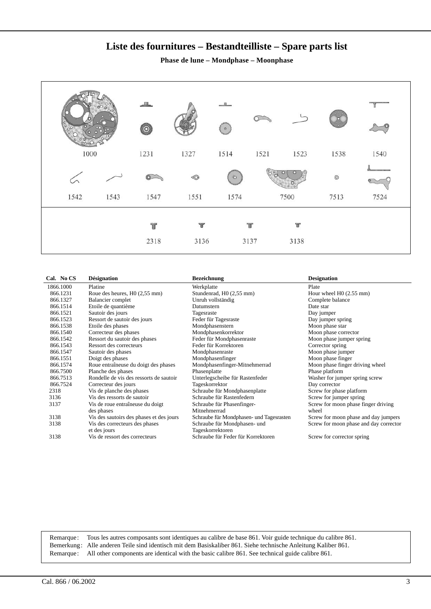## **Liste des fournitures – Bestandteilliste – Spare parts list**

**Phase de lune – Mondphase – Moonphase**

| $\frac{1}{2}$<br>1000 | $^{\circ}$ o | 1231      | 1327      | $\circ$<br>1514 | 1521      | 1523      | 1538               | 1540 |
|-----------------------|--------------|-----------|-----------|-----------------|-----------|-----------|--------------------|------|
| 1542                  | 1543         | 1547      | 1551      | $\circ$<br>1574 |           | 7500      | $_{\odot}$<br>7513 | 7524 |
|                       |              | ť<br>2318 | Ŧ<br>3136 |                 | T<br>3137 | 宵<br>3138 |                    |      |

| Cal. No CS | <b>Désignation</b>                       | <b>Bezeichnung</b>                       | <b>Designation</b>                     |
|------------|------------------------------------------|------------------------------------------|----------------------------------------|
| 1866.1000  | Platine                                  | Werkplatte                               | Plate                                  |
| 866.1231   | Roue des heures, $H0(2,55$ mm)           | Stundenrad, H0 (2,55 mm)                 | Hour wheel H0 (2.55 mm)                |
| 866.1327   | Balancier complet                        | Unruh vollständig                        | Complete balance                       |
| 866.1514   | Etoile de quantième                      | Datumstern                               | Date star                              |
| 866.1521   | Sautoir des jours                        | Tagesraste                               | Day jumper                             |
| 866.1523   | Ressort de sautoir des jours             | Feder für Tagesraste                     | Day jumper spring                      |
| 866.1538   | Etoile des phases                        | Mondphasenstern                          | Moon phase star                        |
| 866.1540   | Correcteur des phases                    | Mondphasenkorrektor                      | Moon phase corrector                   |
| 866.1542   | Ressort du sautoir des phases            | Feder für Mondphasenraste                | Moon phase jumper spring               |
| 866.1543   | Ressort des correcteurs                  | Feder für Korrektoren                    | Corrector spring                       |
| 866.1547   | Sautoir des phases                       | Mondphasenraste                          | Moon phase jumper                      |
| 866.1551   | Doigt des phases                         | Mondphasenfinger                         | Moon phase finger                      |
| 866.1574   | Roue entraîneuse du doigt des phases     | Mondphasenfinger-Mitnehmerrad            | Moon phase finger driving wheel        |
| 866.7500   | Planche des phases                       | Phasenplatte                             | Phase platform                         |
| 866.7513   | Rondelle de vis des ressorts de sautoir  | Unterlegscheibe für Rastenfeder          | Washer for jumper spring screw         |
| 866.7524   | Correcteur des jours                     | Tageskorrektor                           | Day corrector                          |
| 2318       | Vis de planche des phases                | Schraube für Mondphasenplatte            | Screw for phase platform               |
| 3136       | Vis des ressorts de sautoir              | Schraube für Rastenfedern                | Screw for jumper spring                |
| 3137       | Vis de roue entraîneuse du doigt         | Schraube für Phasenfinger-               | Screw for moon phase finger driving    |
|            | des phases                               | Mitnehmerrad                             | wheel                                  |
| 3138       | Vis des sautoirs des phases et des jours | Schraube für Mondphasen- und Tagesrasten | Screw for moon phase and day jumpers   |
| 3138       | Vis des correcteurs des phases           | Schraube für Mondphasen- und             | Screw for moon phase and day corrector |
|            | et des jours                             | Tageskorrektoren                         |                                        |
| 3138       | Vis de ressort des correcteurs           | Schraube für Feder für Korrektoren       | Screw for corrector spring             |
|            |                                          |                                          |                                        |

Remarque: Tous les autres composants sont identiques au calibre de base 861. Voir guide technique du calibre 861. Bemerkung: Alle anderen Teile sind identisch mit dem Basiskaliber 861. Siehe technische Anleitung Kaliber 861. Remarque: All other components are identical with the basic calibre 861. See technical guide calibre 861.